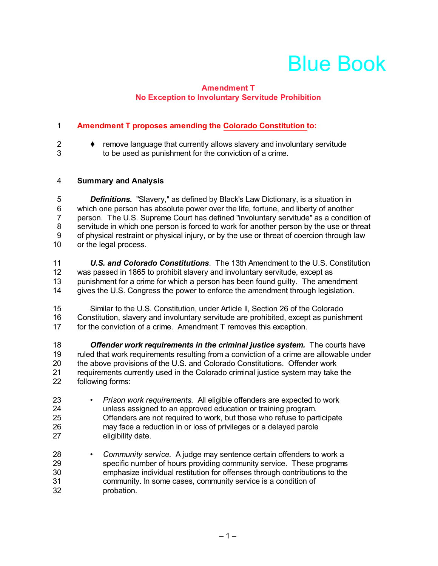# Blue Book

### **Amendment T No Exception to Involuntary Servitude Prohibition**

## **Amendment T proposes amending the Colorado Constitution to:**

 $2 \rightarrow$  remove language that currently allows slavery and involuntary servitude to be used as punishment for the conviction of a crime.

### **Summary and Analysis**

 *Definitions.* "Slavery," as defined by Black's Law Dictionary, is a situation in which one person has absolute power over the life, fortune, and liberty of another person. The U.S. Supreme Court has defined "involuntary servitude" as a condition of 8 servitude in which one person is forced to work for another person by the use or threat<br>9 of physical restraint or physical iniury, or by the use or threat of coercion through law 9 of physical restraint or physical injury, or by the use or threat of coercion through law<br>10 or the legal process. or the legal process.

 *U.S. and Colorado Constitutions*. The 13th Amendment to the U.S. Constitution was passed in 1865 to prohibit slavery and involuntary servitude, except as punishment for a crime for which a person has been found guilty. The amendment gives the U.S. Congress the power to enforce the amendment through legislation.

 Similar to the U.S. Constitution, under Article II, Section 26 of the Colorado Constitution, slavery and involuntary servitude are prohibited, except as punishment for the conviction of a crime. Amendment T removes this exception.

*Offender work requirements in the criminal justice system.* **The courts have<br>19 methat work requirements resulting from a conviction of a crime are allowable unde** ruled that work requirements resulting from a conviction of a crime are allowable under the above provisions of the U.S. and Colorado Constitutions. Offender work 21 requirements currently used in the Colorado criminal justice system may take the<br>22 following forms: following forms:

- *• Prison work requirements.* All eligible offenders are expected to work unless assigned to an approved education or training program. Offenders are not required to work, but those who refuse to participate may face a reduction in or loss of privileges or a delayed parole eligibility date.
- *Community service.* A judge may sentence certain offenders to work a specific number of hours providing community service. These programs emphasize individual restitution for offenses through contributions to the community. In some cases, community service is a condition of probation.